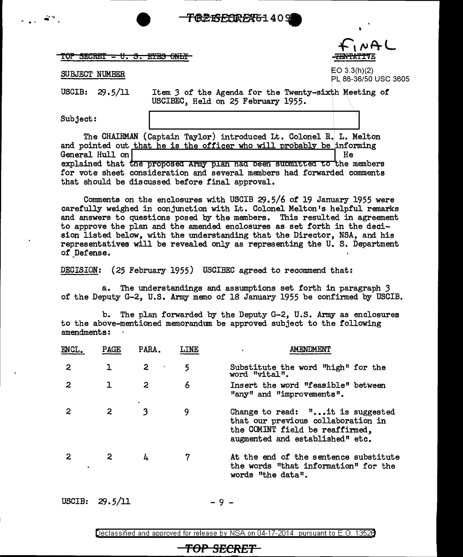**FREISEINEN61409** 

 $TOP$   $SECRET - U.$   $S.$   $EYES$   $ONLY$ 

## SUBJECT NUMBER

 $N+1$ 

EO 3.3(h)(2) PL 86-36/50 USC 3605

USCIB: 29.5/11

Item 3 of the Agenda for the Twenty-sixth Meeting of USCIBEC, Held on 25 February 1955.

Subject:

2008년 3월 19일<br>대한민국 <sup>313</sup>년

The CHAIRMAN (Captain Taylor) introduced Lt. Colonel R. L. Melton and pointed out that he is the officer who will probably be informing General Hull on  $\vert$  He explained that the proposed Army plan had been submitted to the members for vote sheet consideration and several members had forwarded comments that should be discussed before final approval.

Comments on the enclosures with USCIB  $29.5/6$  of 19 January 1955 were carefully weighed in conjunction with Lt. Colonel Melton's helpful remarks and answers to questions posed by the members. This resulted in agreement to approve the plan and the amended enclosures as set forth in the decision listed below, with the understanding that the Director, NSA, and his representatives will be revealed only as representing the U. S. Department of Defense.

DECISION: (25 February 1955) USCIBEC agreed to recommend that:

a. The understandings and assumptions set forth in paragraph *3*  of the Deputy G-2, U.S. Army memo of 18 January 1955 be confirmed by USCIB.

b. The plan forwarded by the Deputy G-2, U.S. Army as enclosures to the above-mentioned memorandum be approved subject to the following amendments:

| <b>ENCL.</b> | PAGE    | PARA.               | <b>LINE</b> | AMENDMENT                                                                                                                                    |
|--------------|---------|---------------------|-------------|----------------------------------------------------------------------------------------------------------------------------------------------|
| $\mathbf{2}$ |         | $\overline{2}$<br>× | 5           | Substitute the word "high" for the<br>word "vital".                                                                                          |
| 2            | ı       | 2                   | 6           | Insert the word "feasible" between<br>"any" and "improvements".                                                                              |
| 2            | 2       | 3                   | 9           | Change to read: "it is suggested<br>that our previous collaboration in<br>the COMINT field be reaffirmed,<br>augmented and established" etc. |
| 2            | 2       | 4                   | 7           | At the end of the sentence substitute<br>the words "that information" for the<br>words "the data".                                           |
| USCIB:       | 29.5/11 |                     |             |                                                                                                                                              |

Declassified and approved for release by NSA on 04-17-2014 pursuant to E.O. 1352B

**'fOP** *SECRET*